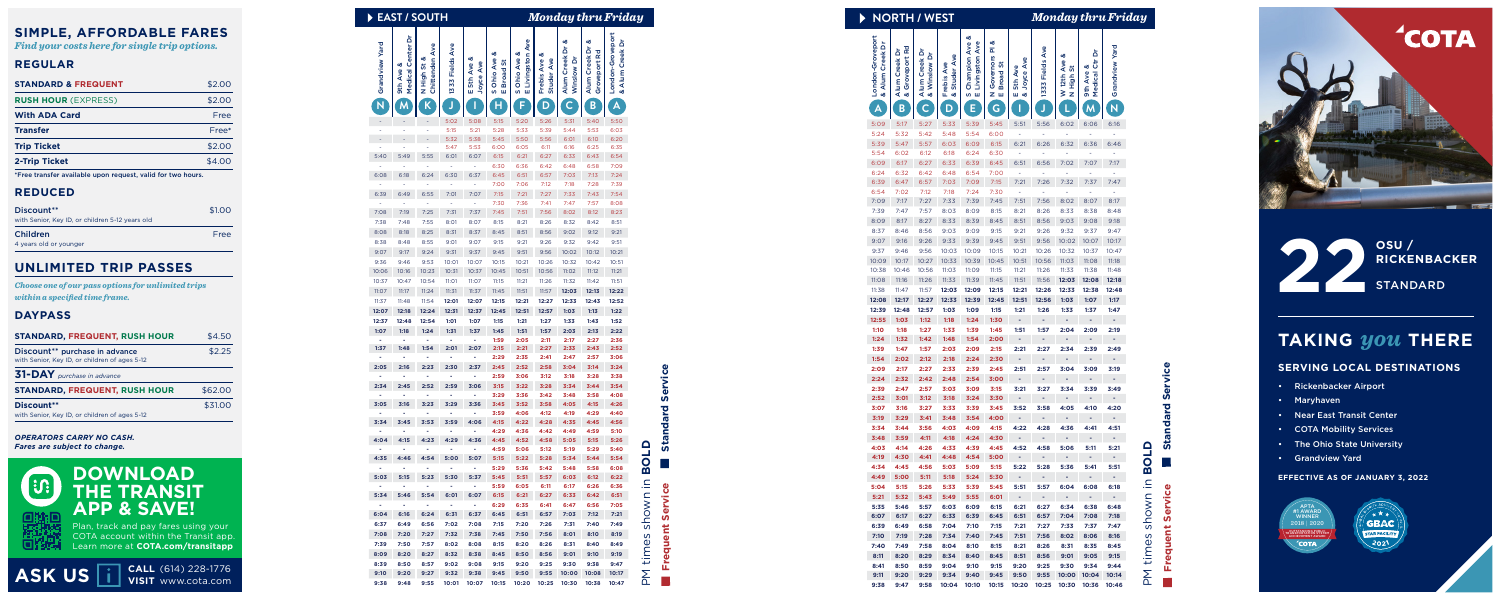#### **SIMPLE, AFFORDABLE FARES**

*Find your costs here for single trip options.*

#### **REGULAR**

| <b>STANDARD &amp; FREQUENT</b> | \$2.00 |
|--------------------------------|--------|
| <b>RUSH HOUR (EXPRESS)</b>     | \$2.00 |
| <b>With ADA Card</b>           | Free   |
| <b>Transfer</b>                | Free*  |
| <b>Trip Ticket</b>             | \$2.00 |
| <b>2-Trip Ticket</b>           | \$4.00 |
|                                |        |

\*Free transfer available upon request, valid for two hours.

#### **REDUCED**

| Discount**<br>with Senior, Key ID, or children 5-12 years old | \$1.00 |
|---------------------------------------------------------------|--------|
| Children                                                      | Free   |
| 4 years old or younger                                        |        |

**CALL** (614) 228-1776 **ASK US i** visit www.cota.com

#### **UNLIMITED TRIP PASSES**

*Choose one of our pass options for unlimited trips within a specified time frame.*

#### **DAYPASS**

**OSU / RICKENBACKER 22** STANDARD

| <b>STANDARD, FREQUENT, RUSH HOUR</b>                                                        | \$4.50  |
|---------------------------------------------------------------------------------------------|---------|
| Discount <sup>**</sup> purchase in advance<br>with Senior, Key ID, or children of ages 5-12 | \$2.25  |
| 31-DAY purchase in advance                                                                  |         |
| <b>STANDARD, FREQUENT, RUSH HOUR</b>                                                        | \$62.00 |
| Discount**<br>with Senior, Key ID, or children of ages 5-12                                 | \$31.00 |

Plan, track and pay fares using your COTA account within the Transit app. Learn more at **COTA.com/transitapp**

| <b>DOWNLOAD</b>        |
|------------------------|
| THE TRANSIT            |
| <b>APP &amp; SAVE!</b> |

*OPERATORS CARRY NO CASH. Fares are subject to change.*



### **TAKING** *you* **THERE**

#### **SERVING LOCAL DESTINATIONS**

- Rickenbacker Airport
- Maryhaven
- Near East Transit Center
- COTA Mobility Services
- The Ohio State University
- Grandview Yard

#### **EFFECTIVE AS OF JANUARY 3, 2022**





**Frequent Service Standard Service** Ù.  $\bullet$ 



| Þ              | <b>EAST / SOUTH</b>            |                               |                 |                             |                                      |                                  |                                      | <b>Monday thru Friday</b>        |                                    |                                     |                |
|----------------|--------------------------------|-------------------------------|-----------------|-----------------------------|--------------------------------------|----------------------------------|--------------------------------------|----------------------------------|------------------------------------|-------------------------------------|----------------|
| Grandview Yard | Medical Center Di<br>9th Ave & | Chittenden Ave<br>N High St & | 1333 Fields Ave | య<br>E 5th Ave<br>Joyce Ave | ళ<br><b>S Ohio Ave</b><br>E Broad St | E Livingston Ave<br>S Ohio Ave & | య<br><b>Studer Ave</b><br>Frebis Ave | త<br>Alum Creek Dr<br>Winslow Dr | త<br>Alum Creek Dr<br>Groveport Rd | London-Groveport<br>& Alum Creek Dr |                |
| N              |                                |                               |                 |                             | н                                    | F                                | D                                    | $\mathsf{C}$                     | B                                  | A                                   |                |
|                |                                |                               | 5:02            | 5:08                        | 5:15                                 | 5:20                             | 5:26                                 | 5:31                             | 5:40                               | 5:50                                |                |
|                |                                |                               | 5:15            | 5:21                        | 5:28                                 | 5:33                             | 5:39                                 | 5:44                             | 5:53                               | 6:03                                |                |
|                | í.                             |                               | 5:32<br>5:47    | 5:38<br>5:53                | 5:45<br>6:00                         | 5:50<br>6:05                     | 5:56<br>6:11                         | 6:01<br>6:16                     | 6:10<br>6:25                       | 6:20<br>6:35                        |                |
| 5:40           | 5:49                           | 5:55                          | 6:01            | 6:07                        | 6:15                                 | 6:21                             | 6:27                                 | 6:33                             | 6:43                               | 6:54                                |                |
|                |                                |                               |                 |                             | 6:30                                 | 6:36                             | 6:42                                 | 6:48                             | 6:58                               | 7:09                                |                |
| 6:08           | 6:18                           | 6:24                          | 6:30            | 6:37                        | 6:45                                 | 6:51                             | 6:57                                 | 7:03                             | 7:13                               | 7:24                                |                |
|                |                                |                               |                 |                             | 7:00                                 | 7:06                             | 7:12                                 | 7:18                             | 7:28                               | 7:39                                |                |
| 6:39           | 6:49                           | 6:55                          | 7:01<br>ä,      | 7:07<br>ä,                  | 7:15<br>7:30                         | 7:21<br>7:36                     | 7:27<br>7:41                         | 7:33<br>7:47                     | 7:43<br>7:57                       | 7:54<br>8:08                        |                |
| 7:08           | 7:19                           | 7:25                          | 7:31            | 7:37                        | 7:45                                 | 7:51                             | 7:56                                 | 8:02                             | 8:12                               | 8:23                                |                |
| 7:38           | 7:48                           | 7:55                          | 8:01            | 8:07                        | 8:15                                 | 8:21                             | 8:26                                 | 8:32                             | 8:42                               | 8:51                                |                |
| 8:08           | 8:18                           | 8:25                          | 8:31            | 8:37                        | 8:45                                 | 8:51                             | 8:56                                 | 9:02                             | 9:12                               | 9:21                                |                |
| 8:38           | 8:48                           | 8:55                          | 9:01            | 9:07                        | 9:15                                 | 9:21                             | 9:26                                 | 9:32                             | 9:42                               | 9:51                                |                |
| 9:07           | 9:17                           | 9:24                          | 9:31            | 9:37                        | 9:45                                 | 9:51                             | 9:56                                 | 10:02                            | 10:12                              | 10:21                               |                |
| 9:36           | 9:46                           | 9:53                          | 10:01           | 10:07                       | 10:15                                | 10:21                            | 10:26                                | 10:32                            | 10:42                              | 10:51                               |                |
| 10:06<br>10:37 | 10:16<br>10:47                 | 10:23<br>10:54                | 10:31<br>11:01  | 10:37<br>11:07              | 10:45<br>11:15                       | 10:51<br>11:21                   | 10:56<br>11:26                       | 11:02<br>11:32                   | 11:12<br>11:42                     | 11:21<br>11:51                      |                |
| 11:07          | 11:17                          | 11:24                         | 11:31           | 11:37                       | 11:45                                | 11:51                            | 11:57                                | 12:03                            | 12:13                              | 12:22                               |                |
| 11:37          | 11:48                          | 11:54                         | 12:01           | 12:07                       | 12:15                                | 12:21                            | 12:27                                | 12:33                            | 12:43                              | 12:52                               |                |
| 12:07          | 12:18                          | 12:24                         | 12:31           | 12:37                       | 12:45                                | 12:51                            | 12:57                                | 1:03                             | 1:13                               | 1:22                                |                |
| 12:37          | 12:48                          | 12:54                         | 1:01            | 1:07                        | 1:15                                 | 1:21                             | 1:27                                 | 1:33                             | 1:43                               | 1:52                                |                |
| 1:07           | 1:18                           | 1:24                          | 1:31            | 1:37                        | 1:45                                 | 1:51                             | 1:57                                 | 2:03                             | 2:13                               | 2:22                                |                |
| 1:37           | 1:48                           |                               | 2:01            | 2:07                        | 1:59                                 | 2:05                             | 2:11                                 | 2:17                             | 2:27                               | 2:36                                |                |
|                |                                | 1:54                          |                 |                             | 2:15<br>2:29                         | 2:21<br>2:35                     | 2:27<br>2:41                         | 2:33<br>2:47                     | 2:43<br>2:57                       | 2:52<br>3:06                        |                |
| 2:05           | 2:16                           | 2:23                          | 2:30            | 2:37                        | 2:45                                 | 2:52                             | 2:58                                 | 3:04                             | 3:14                               | 3:24                                |                |
|                |                                |                               |                 |                             | 2:59                                 | 3:06                             | 3:12                                 | 3:18                             | 3:28                               | 3:38                                |                |
| 2:34           | 2:45                           | 2:52                          | 2:59            | 3:06                        | 3:15                                 | 3:22                             | 3:28                                 | 3:34                             | 3:44                               | 3:54                                |                |
| 3:05           | 3:16                           |                               |                 |                             | 3:29                                 | 3:36                             | 3:42                                 | 3:48                             | 3:58                               | 4:08                                |                |
|                |                                | 3:23                          | 3:29            | 3:36                        | 3:45<br>3:59                         | 3:52<br>4:06                     | 3:58<br>4:12                         | 4:05<br>4:19                     | 4:15<br>4:29                       | 4:26<br>4:40                        |                |
| 3:34           | 3:45                           | 3:53                          | 3:59            | 4:06                        | 4:15                                 | 4:22                             | 4:28                                 | 4:35                             | 4:45                               | 4:56                                |                |
| ۰              |                                |                               | -               | ۰                           | 4:29                                 | 4:36                             | 4:42                                 | 4:49                             | 4:59                               | 5:10                                |                |
| 4:04           | 4:15                           | 4:23                          | 4:29            | 4:36                        | 4:45                                 | 4:52                             | 4:58                                 | 5:05                             | 5:15                               | 5:26                                | $\blacksquare$ |
| 4:35           | ٠<br>4:46                      | ٠<br>4:54                     | ٠<br>5:00       | ٠<br>5:07                   | 4:59<br>5:15                         | 5:06<br>5:22                     | 5:12<br>5:28                         | 5:19<br>5:34                     | 5:29<br>5:44                       | 5:40<br>5:54                        |                |
|                |                                |                               | ۰               | ۰                           | 5:29                                 | 5:36                             | 5:42                                 | 5:48                             | 5:58                               | 6:08                                | O<br>$\vec{a}$ |
| 5:03           | 5:15                           | 5:23                          | 5:30            | 5:37                        | 5:45                                 | 5:51                             | 5:57                                 | 6:03                             | 6:12                               | 6:22                                |                |
| $\blacksquare$ | $\blacksquare$                 | $\blacksquare$                | $\blacksquare$  | $\blacksquare$              | 5:59                                 | 6:05                             | 6:11                                 | 6:17                             | 6:26                               | 6:36                                | $\equiv$       |
| 5:34           | 5:46                           | 5:54                          | 6:01            | 6:07                        | 6:15                                 | 6:21                             | 6:27                                 | 6:33                             | 6:42                               | 6:51                                | OWN            |
| ÷.             | ÷.                             | ÷.                            | $\sim$          | $\sim$                      | 6:29                                 | 6:35                             | 6:41                                 | 6:47                             | 6:56                               | 7:05                                |                |
| 6:04<br>6:37   | 6:16<br>6:49                   | 6:24<br>6:56                  | 6:31<br>7:02    | 6:37<br>7:08                | 6:45<br>7:15                         | 6:51<br>7:20                     | 6:57<br>7:26                         | 7:03<br>7:31                     | 7:12<br>7:40                       | 7:21<br>7:49                        | Sp             |
| 7:08           | 7:20                           | 7:27                          | 7:32            | 7:38                        | 7:45                                 | 7:50                             | 7:56                                 | 8:01                             | 8:10                               | 8:19                                |                |
| 7:39           | 7:50                           | 7:57                          | 8:02            | 8:08                        | 8:15                                 | 8:20                             | 8:26                                 | 8:31                             | 8:40                               | 8:49                                | es             |
| 8:09           | 8:20                           | 8:27                          | 8:32            | 8:38                        | 8:45                                 | 8:50                             | 8:56                                 | 9:01                             | 9:10                               | 9:19                                | E              |
| 8:39           | 8:50                           | 8:57                          | 9:02            | 9:08                        | 9:15                                 | 9:20                             | 9:25                                 | 9:30                             | 9:38                               | 9:47                                |                |
| 9:10           | 9:20                           | 9:27                          | 9:32            | 9:38                        | 9:45                                 | 9:50                             | 9:55                                 | 10:00                            | 10:08                              | 10:17                               | Md             |
| 9:38           | 9:48                           | 9:55                          | 10:01           | 10:07                       | 10:15                                | 10:20                            | 10:25                                | 10:30                            | 10:38                              | 10:47                               |                |

|                   |                                   | <b>EAST / SOUTH</b>                         |                     |                                 |                                                 |                                                 |                                                                  |                                         |                                               | Monday thru Friday                          |
|-------------------|-----------------------------------|---------------------------------------------|---------------------|---------------------------------|-------------------------------------------------|-------------------------------------------------|------------------------------------------------------------------|-----------------------------------------|-----------------------------------------------|---------------------------------------------|
| Yard<br>Grandview | ā<br>enter<br>ပ<br>Medical<br>9th | den<br>芴<br>Chitten<br>High<br>$\mathbf{z}$ | Å<br>Fields<br>1333 | త<br>Ave<br>ဗီ<br>5th<br>š<br>ш | త<br>Ave<br>ö<br><b>Broad</b><br>Ohio<br>S<br>Ш | Ave<br>య<br>Livingston<br>Ave<br>Ohio<br>ш<br>w | య<br>Ave<br>Frebis Ave<br>Studer                                 | య<br>ă<br>Creek<br>ò<br>Winslow<br>Alum | య<br>ā<br>ত<br>Creek<br>port<br>Grove<br>Alum | London-Groveport<br>ò<br>Creek<br>Alum<br>න |
|                   |                                   |                                             |                     |                                 |                                                 | F                                               | D                                                                |                                         | B                                             | A                                           |
|                   |                                   |                                             | 5:02                | 5:08                            | 5:15                                            | 5:20                                            | 5:26                                                             | 5:31                                    | 5:40                                          | 5:50                                        |
|                   | $\sim$                            |                                             | 5:15<br>5:32        | 5:21<br>5:38                    | 5:28<br>5:45                                    | 5:33<br>5:50                                    | 5:39<br>5:56                                                     | 5:44<br>6:01                            | 5:53<br>6:10                                  | 6:03<br>6:20                                |
|                   |                                   |                                             | 5:47                | 5:53                            | 6:00                                            | 6:05                                            | 6:11                                                             | 6:16                                    | 6:25                                          | 6:35                                        |
| :40               | 5:49                              | 5:55                                        | 6:01                | 6:07                            | 6:15<br>6:30                                    | 6:21<br>6:36                                    | 6:27<br>6:42                                                     | 6:33<br>6:48                            | 6:43<br>6:58                                  | 6:54<br>7:09                                |
| :08               | 6:18                              | 6:24                                        | 6:30                | 6:37                            | 6:45                                            | 6:51                                            | 6:57                                                             | 7:03                                    | 7:13                                          | 7:24                                        |
|                   |                                   |                                             |                     |                                 | 7:00                                            | 7:06                                            | 7:12                                                             | 7:18                                    | 7:28                                          | 7:39                                        |
| i:39              | 6:49                              | 6:55                                        | 7:01                | 7:07                            | 7:15<br>7:30                                    | 7:21<br>7:36                                    | 7:27<br>7:41                                                     | 7:33<br>7:47                            | 7:43<br>7:57                                  | 7:54<br>8:08                                |
| :08               | 7:19                              | 7:25                                        | 7:31                | 7:37                            | 7:45                                            | 7:51                                            | 7:56                                                             | 8:02                                    | 8:12                                          | 8:23                                        |
| $^{\prime}$ :38   | 7:48                              | 7:55                                        | 8:01                | 8:07                            | 8:15                                            | 8:21                                            | 8:26                                                             | 8:32                                    | 8:42                                          | 8:51                                        |
| :08<br>8:38       | 8:18<br>8:48                      | 8:25<br>8:55                                | 8:31<br>9:01        | 8:37<br>9:07                    | 8:45<br>9:15                                    | 8:51<br>9:21                                    | 8:56<br>9:26                                                     | 9:02<br>9:32                            | 9:12<br>9:42                                  | 9:21<br>9:51                                |
| 07:0              | 9:17                              | 9:24                                        | 9:31                | 9:37                            | 9:45                                            | 9:51                                            | 9:56                                                             | 10:02                                   | 10:12                                         | 10:21                                       |
| 1:36              | 9:46                              | 9:53                                        | 10:01               | 10:07                           | 10:15                                           | 10:21                                           | 10:26                                                            | 10:32                                   | 10:42                                         | 10:51                                       |
| 0:06<br>0:37      | 10:16<br>10:47                    | 10:23<br>10:54                              | 10:31<br>11:O1      | 10:37<br>11:07                  | 10:45<br>11:15                                  | 10:51<br>11:21                                  | 10:56<br>11:26                                                   | 11:02<br>11:32                          | 11:12<br>11:42                                | 11:21<br>11:51                              |
| l:07              | 11:17                             | 11:24                                       | 11:31               | 11:37                           | 11:45                                           | 11:51                                           | 11:57                                                            | 12:03                                   | 12:13                                         | 12:22                                       |
| 1:37              | 11:48                             | 11:54                                       | 12:01               | 12:07                           | 12:15                                           | 12:21                                           | 12:27                                                            | 12:33                                   | 12:43                                         | 12:52                                       |
| 2:07              | 12:18                             | 12:24                                       | 12:31               | 12:37                           | 12:45                                           | 12:51                                           | 12:57                                                            | 1:03                                    | 1:13                                          | 1:22                                        |
| 2:37<br>:07       | 12:48<br>1:18                     | 12:54<br>1:24                               | 1:01<br>1:31        | 1:07<br>1:37                    | 1:15<br>1:45                                    | 1:21<br>1:51                                    | 1:27<br>1:57                                                     | 1:33<br>2:03                            | 1:43<br>2:13                                  | 1:52<br>2:22                                |
|                   |                                   |                                             |                     |                                 | 1:59                                            | 2:05                                            | 2:11                                                             | 2:17                                    | 2:27                                          | 2:36                                        |
| :37               | 1:48                              | 1:54                                        | 2:01                | 2:07                            | 2:15<br>2:29                                    | 2:21<br>2:35                                    | 2:27<br>2:41                                                     | 2:33<br>2:47                            | 2:43<br>2:57                                  | 2:52<br>3:06                                |
| :05               | 2:16                              | 2:23                                        | 2:30                | 2:37                            | 2:45                                            | 2:52                                            | 2:58                                                             | 3:04                                    | 3:14                                          | 3:24                                        |
|                   |                                   |                                             |                     |                                 | 2:59                                            | 3:06                                            | 3:12                                                             | 3:18                                    | 3:28                                          | 3:38                                        |
| :34               | 2:45                              | 2:52                                        | 2:59                | 3:06                            | 3:15<br>3:29                                    | 3:22<br>3:36                                    | 3:28<br>3:42                                                     | 3:34<br>3:48                            | 3:44<br>3:58                                  | 3:54<br>4:08                                |
| :05               | 3:16                              | 3:23                                        | 3:29                | 3:36                            | 3:45                                            | 3:52                                            | 3:58                                                             | 4:05                                    | 4:15                                          | 4:26                                        |
| :34               | 3:45                              | 3:53                                        | 3:59                | 4:06                            | 3:59<br>4:15                                    | 4:06<br>4:22                                    | 4:12<br>4:28                                                     | 4:19<br>4:35                            | 4:29<br>4:45                                  | 4:40<br>4:56                                |
|                   |                                   |                                             |                     |                                 | 4:29                                            | 4:36                                            | 4:42                                                             | 4:49                                    | 4:59                                          | 5:10                                        |
| :04               | 4:15                              | 4:23                                        | 4:29                | 4:36                            | 4:45                                            | 4:52                                            | 4:58                                                             | 5:05                                    | 5:15                                          | 5:26                                        |
|                   | $:35$ 4:46                        | 4:54                                        | 5:00                | 5:07                            | 4:59<br>5:15                                    | 5:06<br>5:22                                    | 5:12<br>5:28                                                     | 5:19<br>5:34                            | 5:29<br>5:44                                  | 5:40<br>5:54                                |
|                   |                                   |                                             |                     |                                 | 5:29                                            | 5:36                                            | 5:42                                                             | 5:48                                    | 5:58                                          | 6:08                                        |
|                   | $:03$ 5:15                        | 5:23                                        | 5:30                | 5:37                            | 5:45<br>5:59                                    | 5:51<br>6:05                                    | 5:57<br>6:11                                                     | 6:03<br>6:17                            | 6:12<br>6:26                                  | 6:22<br>6:36                                |
|                   | $:34$ 5:46                        | 5:54                                        | 6:01                | 6:07                            | 6:15                                            | 6:21                                            | 6:27                                                             | 6:33                                    | 6:42                                          | 6:51                                        |
|                   |                                   | $\overline{\phantom{a}}$                    |                     |                                 | 6:29                                            | 6:35                                            | 6:41                                                             | 6:47                                    | 6:56                                          | 7:05                                        |
|                   | $:04$ 6:16<br>$:37$ 6:49          | 6:24<br>6:56                                | 6:31<br>7:02        | 6:37<br>7:08                    | 6:45<br>7:15                                    | 6:51<br>7:20                                    | 6:57<br>7:26                                                     | 7:03<br>7:31                            | 7:12<br>7:40                                  | 7:21<br>7:49                                |
|                   | $:08$ 7:20                        | 7:27                                        | 7:32                | 7:38                            | 7:45                                            | 7:50                                            | 7:56                                                             | 8:01                                    | 8:10                                          | 8:19                                        |
|                   | :397:50                           | 7:57                                        | 8:02                | 8:08                            | 8:15                                            | 8:20                                            | 8:26                                                             | 8:31                                    | 8:40                                          | 8:49                                        |
|                   | :09 8:20                          | 8:27<br>8:57                                | 8:32<br>9:02        | 8:38                            | 8:45<br>9:15                                    | 8:50                                            | 8:56                                                             | 9:01                                    | 9:10                                          | 9:19                                        |
|                   | $:39$ 8:50<br>$0:10$ 9:20         | 9:27                                        | 9:32                | 9:08<br>9:38                    | 9:45                                            | 9:20<br>9:50                                    | 9:25                                                             | 9:30<br>9:55 10:00 10:08                | 9:38                                          | 9:47<br>10:17                               |
|                   |                                   |                                             |                     |                                 |                                                 |                                                 | :38  9:48  9:55  10:01  10:07  10:15  10:20  10:25  10:30  10:38 |                                         |                                               | 10:47                                       |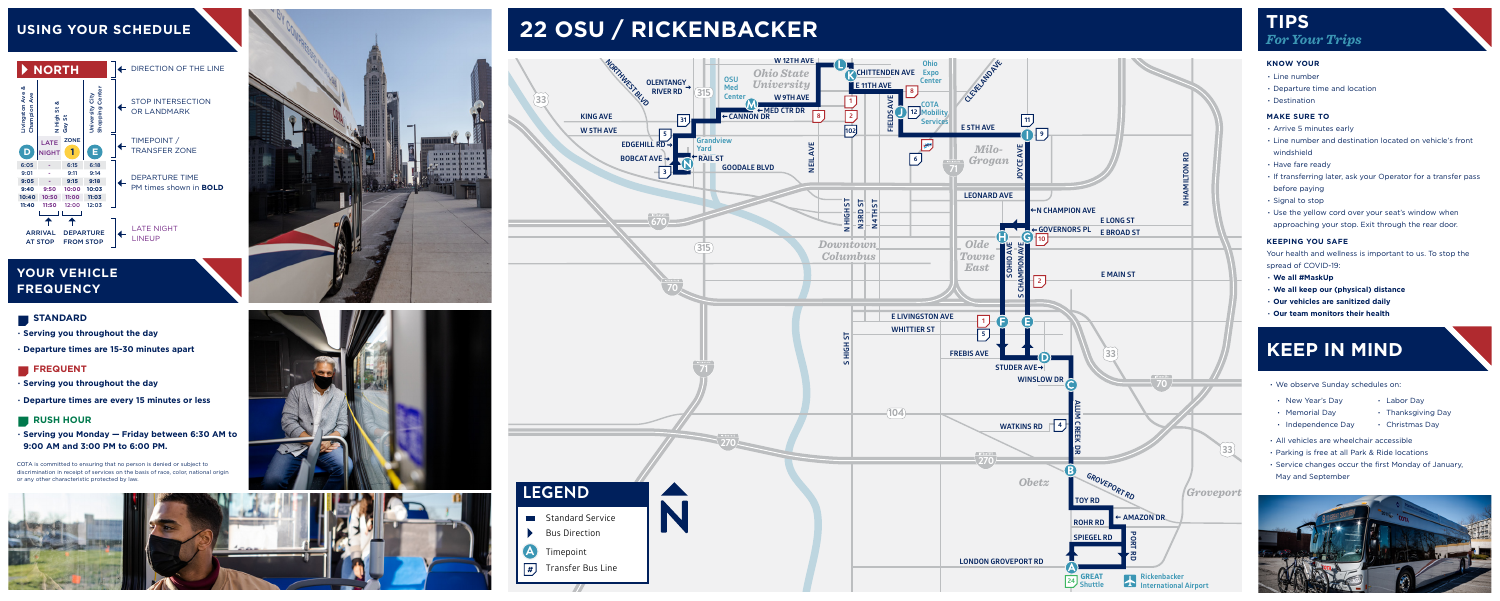- **∙ Serving you throughout the day**
- **∙ Departure times are 15-30 minutes apart**

#### **FREQUENT**

- **∙ Serving you throughout the day**
- **∙ Departure times are every 15 minutes or less**

#### **RUSH HOUR**

**∙ Serving you Monday — Friday between 6:30 AM to 9:00 AM and 3:00 PM to 6:00 PM.**

#### **USING YOUR SCHEDULE**

#### **YOUR VEHICLE FREQUENCY**

#### **STANDARD**



COTA is committed to ensuring that no person is denied or subject to discrimination in receipt of services on the basis of race, color, national origin or any other characteristic protected by law.









## **22 OSU / RICKENBACKER TIPS**

# *For Your Trips*

#### **KNOW YOUR**

- **∙** Line number
- **∙** Departure time and location
- **∙** Destination

#### **MAKE SURE TO**

- **∙** Arrive 5 minutes early
- **∙** Line number and destination located on vehicle's front windshield
- **∙** Have fare ready
- **∙** If transferring later, ask your Operator for a transfer pass before paying
- **∙** Signal to stop
- **∙** Use the yellow cord over your seat's window when approaching your stop. Exit through the rear door.

#### **KEEPING YOU SAFE**

Your health and wellness is important to us. To stop the spread of COVID-19:

- **∙ We all #MaskUp**
- **∙ We all keep our (physical) distance**
- **∙ Our vehicles are sanitized daily**
- **∙ Our team monitors their health**

# **KEEP IN MIND ∙** We observe Sunday schedules on:

- 
- **∙** New Year's Day
- **∙** Memorial Day **∙** New Year's Day **∙** Labor Day<br>• Memorial Day **∙** Thanksgiving Day<br>• Independence Day • Christmas Day
	-
	-
- **∙** All vehicles are wheelchair accessible
- **∙** Parking is free at all Park & Ride locations
- **∙** Service changes occur the first Monday of January, May and September